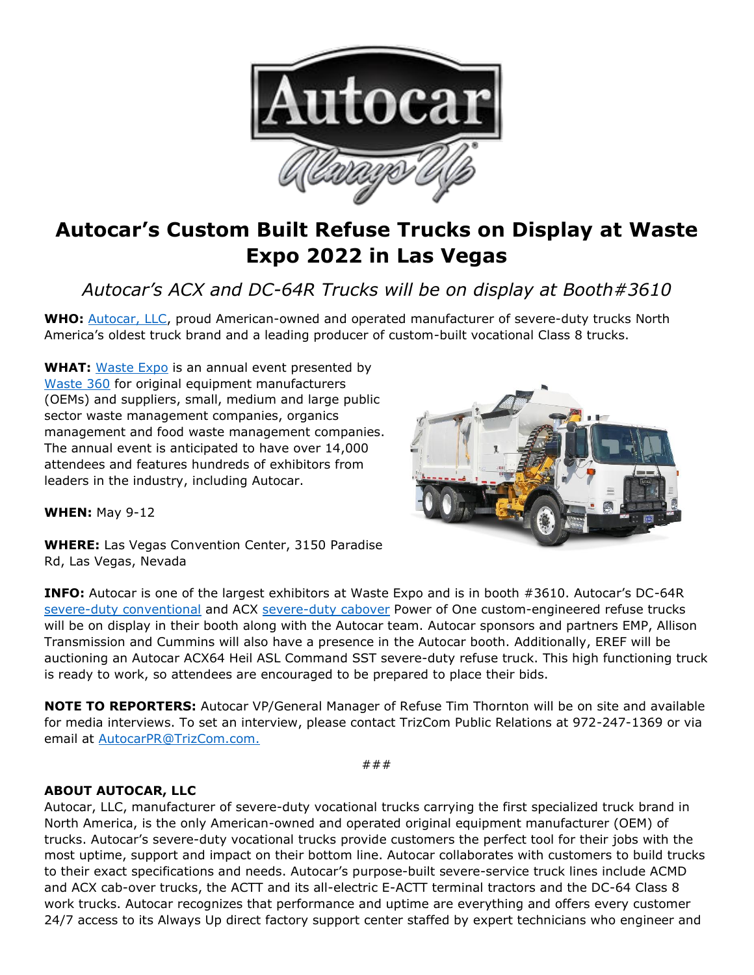

## **Autocar's Custom Built Refuse Trucks on Display at Waste Expo 2022 in Las Vegas**

*Autocar's ACX and DC-64R Trucks will be on display at Booth#3610*

**WHO:** [Autocar, LLC,](https://www.autocartruck.com/autocar-difference/?utm_source=autocar+media+alert&utm_medium=newsroom.autocartruck.com&utm_campaign=april+2022+waste+expo+media+alert&utm_content=autocar+llc+hyperlink+1) proud American-owned and operated manufacturer of severe-duty trucks North America's oldest truck brand and a leading producer of custom-built vocational Class 8 trucks.

**WHAT:** [Waste Expo](https://www.wasteexpo.com/en/home.html) is an annual event presented by [Waste 360](https://www.waste360.com/) for original equipment manufacturers (OEMs) and suppliers, small, medium and large public sector waste management companies, organics management and food waste management companies. The annual event is anticipated to have over 14,000 attendees and features hundreds of exhibitors from leaders in the industry, including Autocar.



**WHEN:** May 9-12

**WHERE:** Las Vegas Convention Center, 3150 Paradise Rd, Las Vegas, Nevada

**INFO:** Autocar is one of the largest exhibitors at Waste Expo and is in booth #3610. Autocar's DC-64R [severe-duty conventional](https://www.autocartruck.com/dc/?utm_source=autocar+media+alert&utm_medium=newsroom.autocartruck.com&utm_campaign=april+2022+waste+expo+media+alert&utm_content=severe-duty+conventional) and ACX [severe-duty cabover](https://www.autocartruck.com/acx/?utm_source=autocar+media+alert&utm_medium=newsroom.autocartruck.com&utm_campaign=april+2022+waste+expo+media+alert&utm_content=severe-duty+cabover) Power of One custom-engineered refuse trucks will be on display in their booth along with the Autocar team. Autocar sponsors and partners EMP, Allison Transmission and Cummins will also have a presence in the Autocar booth. Additionally, EREF will be auctioning an Autocar ACX64 Heil ASL Command SST severe-duty refuse truck. This high functioning truck is ready to work, so attendees are encouraged to be prepared to place their bids.

**NOTE TO REPORTERS:** Autocar VP/General Manager of Refuse Tim Thornton will be on site and available for media interviews. To set an interview, please contact TrizCom Public Relations at 972-247-1369 or via email at [AutocarPR@TrizCom.com.](mailto:AutocarPR@TrizCom.com)

###

## **ABOUT AUTOCAR, LLC**

Autocar, LLC, manufacturer of severe-duty vocational trucks carrying the first specialized truck brand in North America, is the only American-owned and operated original equipment manufacturer (OEM) of trucks. Autocar's severe-duty vocational trucks provide customers the perfect tool for their jobs with the most uptime, support and impact on their bottom line. Autocar collaborates with customers to build trucks to their exact specifications and needs. Autocar's purpose-built severe-service truck lines include ACMD and ACX cab-over trucks, the ACTT and its all-electric E-ACTT terminal tractors and the DC-64 Class 8 work trucks. Autocar recognizes that performance and uptime are everything and offers every customer 24/7 access to its Always Up direct factory support center staffed by expert technicians who engineer and